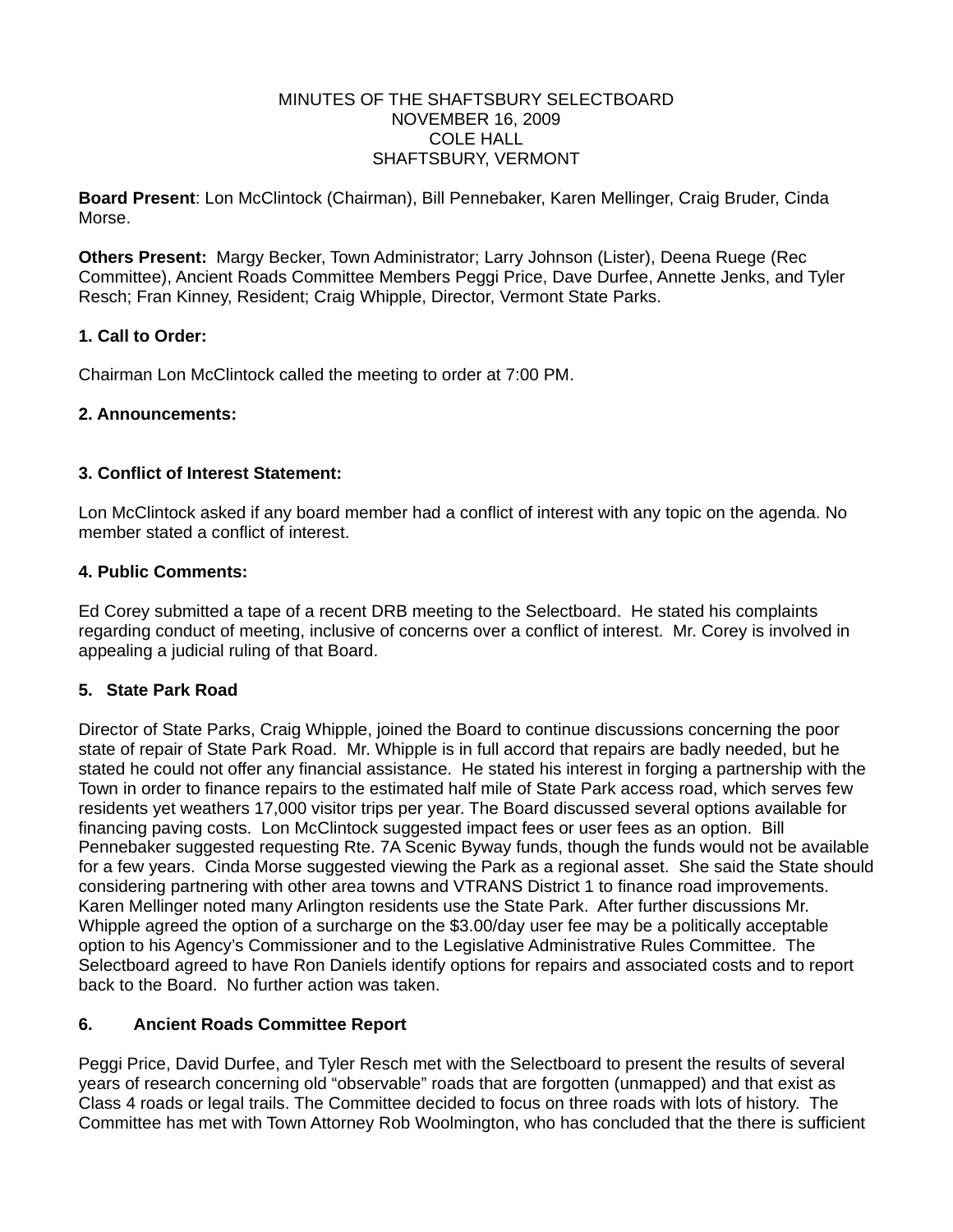#### MINUTES OF THE SHAFTSBURY SELECTBOARD NOVEMBER 16, 2009 COLE HALL SHAFTSBURY, VERMONT

**Board Present**: Lon McClintock (Chairman), Bill Pennebaker, Karen Mellinger, Craig Bruder, Cinda Morse.

**Others Present:** Margy Becker, Town Administrator; Larry Johnson (Lister), Deena Ruege (Rec Committee), Ancient Roads Committee Members Peggi Price, Dave Durfee, Annette Jenks, and Tyler Resch; Fran Kinney, Resident; Craig Whipple, Director, Vermont State Parks.

### **1. Call to Order:**

Chairman Lon McClintock called the meeting to order at 7:00 PM.

### **2. Announcements:**

### **3. Conflict of Interest Statement:**

Lon McClintock asked if any board member had a conflict of interest with any topic on the agenda. No member stated a conflict of interest.

### **4. Public Comments:**

Ed Corey submitted a tape of a recent DRB meeting to the Selectboard. He stated his complaints regarding conduct of meeting, inclusive of concerns over a conflict of interest. Mr. Corey is involved in appealing a judicial ruling of that Board.

### **5. State Park Road**

Director of State Parks, Craig Whipple, joined the Board to continue discussions concerning the poor state of repair of State Park Road. Mr. Whipple is in full accord that repairs are badly needed, but he stated he could not offer any financial assistance. He stated his interest in forging a partnership with the Town in order to finance repairs to the estimated half mile of State Park access road, which serves few residents yet weathers 17,000 visitor trips per year. The Board discussed several options available for financing paving costs. Lon McClintock suggested impact fees or user fees as an option. Bill Pennebaker suggested requesting Rte. 7A Scenic Byway funds, though the funds would not be available for a few years. Cinda Morse suggested viewing the Park as a regional asset. She said the State should considering partnering with other area towns and VTRANS District 1 to finance road improvements. Karen Mellinger noted many Arlington residents use the State Park. After further discussions Mr. Whipple agreed the option of a surcharge on the \$3.00/day user fee may be a politically acceptable option to his Agency's Commissioner and to the Legislative Administrative Rules Committee. The Selectboard agreed to have Ron Daniels identify options for repairs and associated costs and to report back to the Board. No further action was taken.

## **6. Ancient Roads Committee Report**

Peggi Price, David Durfee, and Tyler Resch met with the Selectboard to present the results of several years of research concerning old "observable" roads that are forgotten (unmapped) and that exist as Class 4 roads or legal trails. The Committee decided to focus on three roads with lots of history. The Committee has met with Town Attorney Rob Woolmington, who has concluded that the there is sufficient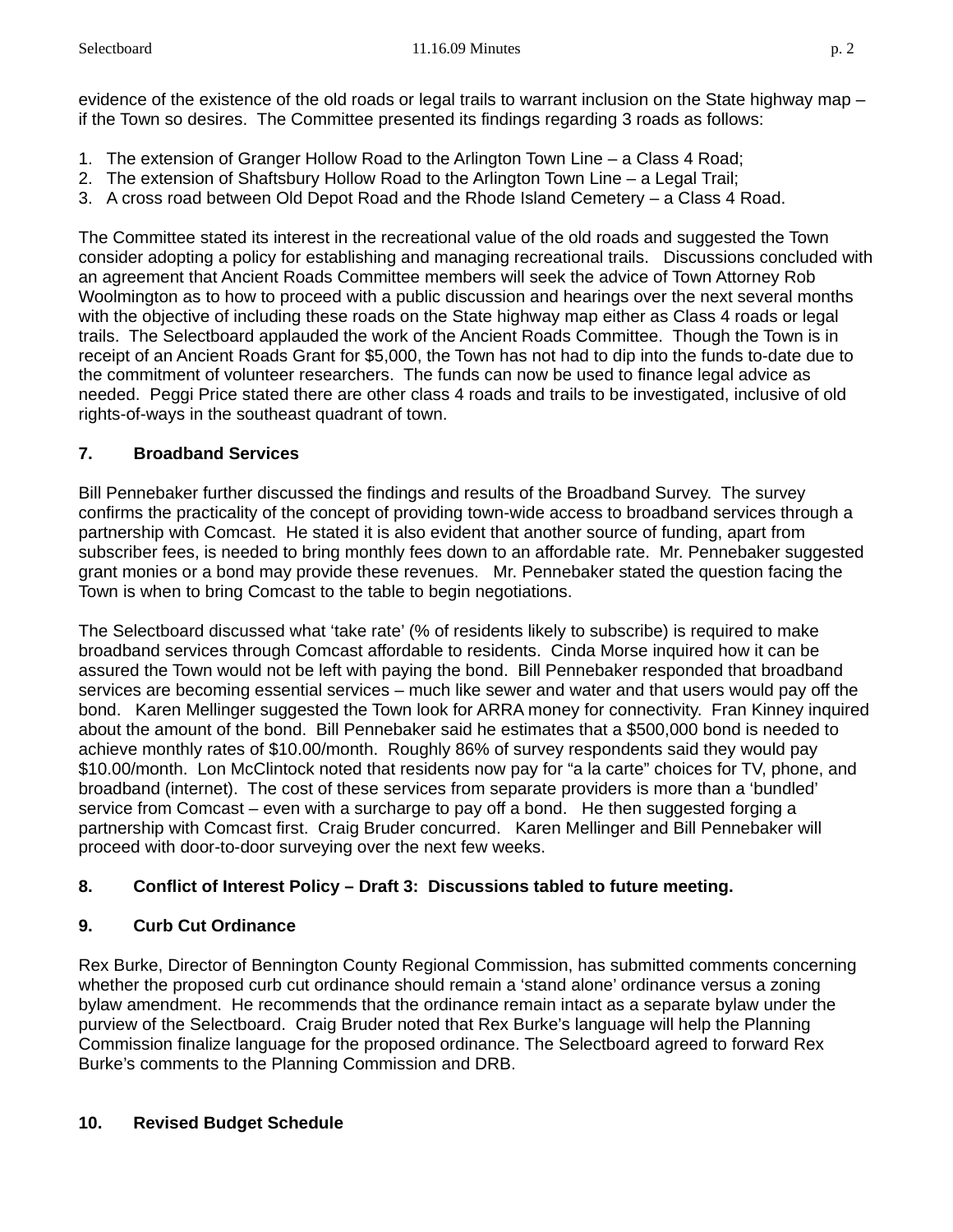evidence of the existence of the old roads or legal trails to warrant inclusion on the State highway map – if the Town so desires. The Committee presented its findings regarding 3 roads as follows:

- 1. The extension of Granger Hollow Road to the Arlington Town Line a Class 4 Road;
- 2. The extension of Shaftsbury Hollow Road to the Arlington Town Line a Legal Trail;
- 3. A cross road between Old Depot Road and the Rhode Island Cemetery a Class 4 Road.

The Committee stated its interest in the recreational value of the old roads and suggested the Town consider adopting a policy for establishing and managing recreational trails. Discussions concluded with an agreement that Ancient Roads Committee members will seek the advice of Town Attorney Rob Woolmington as to how to proceed with a public discussion and hearings over the next several months with the objective of including these roads on the State highway map either as Class 4 roads or legal trails. The Selectboard applauded the work of the Ancient Roads Committee. Though the Town is in receipt of an Ancient Roads Grant for \$5,000, the Town has not had to dip into the funds to-date due to the commitment of volunteer researchers. The funds can now be used to finance legal advice as needed. Peggi Price stated there are other class 4 roads and trails to be investigated, inclusive of old rights-of-ways in the southeast quadrant of town.

# **7. Broadband Services**

Bill Pennebaker further discussed the findings and results of the Broadband Survey. The survey confirms the practicality of the concept of providing town-wide access to broadband services through a partnership with Comcast. He stated it is also evident that another source of funding, apart from subscriber fees, is needed to bring monthly fees down to an affordable rate. Mr. Pennebaker suggested grant monies or a bond may provide these revenues. Mr. Pennebaker stated the question facing the Town is when to bring Comcast to the table to begin negotiations.

The Selectboard discussed what 'take rate' (% of residents likely to subscribe) is required to make broadband services through Comcast affordable to residents. Cinda Morse inquired how it can be assured the Town would not be left with paying the bond. Bill Pennebaker responded that broadband services are becoming essential services – much like sewer and water and that users would pay off the bond. Karen Mellinger suggested the Town look for ARRA money for connectivity. Fran Kinney inquired about the amount of the bond. Bill Pennebaker said he estimates that a \$500,000 bond is needed to achieve monthly rates of \$10.00/month. Roughly 86% of survey respondents said they would pay \$10.00/month. Lon McClintock noted that residents now pay for "a la carte" choices for TV, phone, and broadband (internet). The cost of these services from separate providers is more than a 'bundled' service from Comcast – even with a surcharge to pay off a bond. He then suggested forging a partnership with Comcast first. Craig Bruder concurred. Karen Mellinger and Bill Pennebaker will proceed with door-to-door surveying over the next few weeks.

# **8. Conflict of Interest Policy – Draft 3: Discussions tabled to future meeting.**

# **9. Curb Cut Ordinance**

Rex Burke, Director of Bennington County Regional Commission, has submitted comments concerning whether the proposed curb cut ordinance should remain a 'stand alone' ordinance versus a zoning bylaw amendment. He recommends that the ordinance remain intact as a separate bylaw under the purview of the Selectboard. Craig Bruder noted that Rex Burke's language will help the Planning Commission finalize language for the proposed ordinance. The Selectboard agreed to forward Rex Burke's comments to the Planning Commission and DRB.

# **10. Revised Budget Schedule**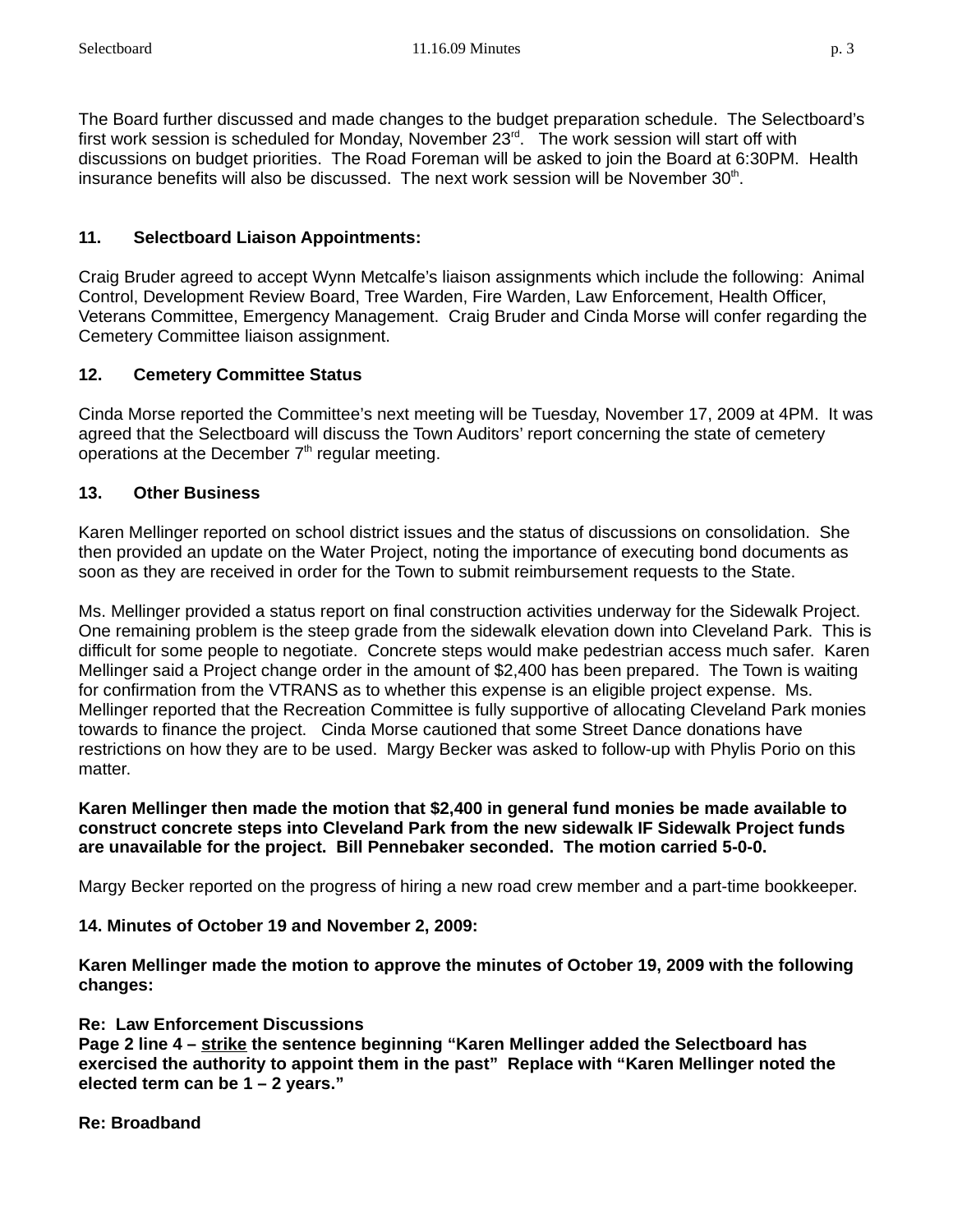The Board further discussed and made changes to the budget preparation schedule. The Selectboard's first work session is scheduled for Monday, November  $23<sup>rd</sup>$ . The work session will start off with discussions on budget priorities. The Road Foreman will be asked to join the Board at 6:30PM. Health insurance benefits will also be discussed. The next work session will be November 30<sup>th</sup>.

## **11. Selectboard Liaison Appointments:**

Craig Bruder agreed to accept Wynn Metcalfe's liaison assignments which include the following: Animal Control, Development Review Board, Tree Warden, Fire Warden, Law Enforcement, Health Officer, Veterans Committee, Emergency Management. Craig Bruder and Cinda Morse will confer regarding the Cemetery Committee liaison assignment.

## **12. Cemetery Committee Status**

Cinda Morse reported the Committee's next meeting will be Tuesday, November 17, 2009 at 4PM. It was agreed that the Selectboard will discuss the Town Auditors' report concerning the state of cemetery operations at the December  $7<sup>th</sup>$  regular meeting.

## **13. Other Business**

Karen Mellinger reported on school district issues and the status of discussions on consolidation. She then provided an update on the Water Project, noting the importance of executing bond documents as soon as they are received in order for the Town to submit reimbursement requests to the State.

Ms. Mellinger provided a status report on final construction activities underway for the Sidewalk Project. One remaining problem is the steep grade from the sidewalk elevation down into Cleveland Park. This is difficult for some people to negotiate. Concrete steps would make pedestrian access much safer. Karen Mellinger said a Project change order in the amount of \$2,400 has been prepared. The Town is waiting for confirmation from the VTRANS as to whether this expense is an eligible project expense. Ms. Mellinger reported that the Recreation Committee is fully supportive of allocating Cleveland Park monies towards to finance the project. Cinda Morse cautioned that some Street Dance donations have restrictions on how they are to be used. Margy Becker was asked to follow-up with Phylis Porio on this matter.

#### **Karen Mellinger then made the motion that \$2,400 in general fund monies be made available to construct concrete steps into Cleveland Park from the new sidewalk IF Sidewalk Project funds are unavailable for the project. Bill Pennebaker seconded. The motion carried 5-0-0.**

Margy Becker reported on the progress of hiring a new road crew member and a part-time bookkeeper.

## **14. Minutes of October 19 and November 2, 2009:**

**Karen Mellinger made the motion to approve the minutes of October 19, 2009 with the following changes:**

## **Re: Law Enforcement Discussions**

**Page 2 line 4 – strike the sentence beginning "Karen Mellinger added the Selectboard has exercised the authority to appoint them in the past" Replace with "Karen Mellinger noted the elected term can be 1 – 2 years."**

## **Re: Broadband**